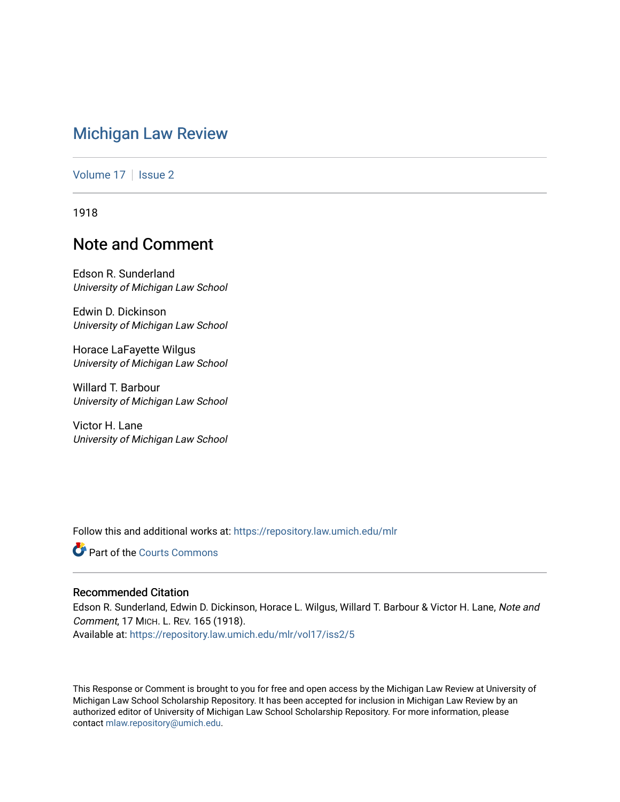## [Michigan Law Review](https://repository.law.umich.edu/mlr)

[Volume 17](https://repository.law.umich.edu/mlr/vol17) | [Issue 2](https://repository.law.umich.edu/mlr/vol17/iss2)

1918

## Note and Comment

Edson R. Sunderland University of Michigan Law School

Edwin D. Dickinson University of Michigan Law School

Horace LaFayette Wilgus University of Michigan Law School

Willard T. Barbour University of Michigan Law School

Victor H. Lane University of Michigan Law School

Follow this and additional works at: [https://repository.law.umich.edu/mlr](https://repository.law.umich.edu/mlr?utm_source=repository.law.umich.edu%2Fmlr%2Fvol17%2Fiss2%2F5&utm_medium=PDF&utm_campaign=PDFCoverPages) 

Part of the [Courts Commons](http://network.bepress.com/hgg/discipline/839?utm_source=repository.law.umich.edu%2Fmlr%2Fvol17%2Fiss2%2F5&utm_medium=PDF&utm_campaign=PDFCoverPages) 

### Recommended Citation

Edson R. Sunderland, Edwin D. Dickinson, Horace L. Wilgus, Willard T. Barbour & Victor H. Lane, Note and Comment, 17 MICH. L. REV. 165 (1918). Available at: [https://repository.law.umich.edu/mlr/vol17/iss2/5](https://repository.law.umich.edu/mlr/vol17/iss2/5?utm_source=repository.law.umich.edu%2Fmlr%2Fvol17%2Fiss2%2F5&utm_medium=PDF&utm_campaign=PDFCoverPages)

This Response or Comment is brought to you for free and open access by the Michigan Law Review at University of Michigan Law School Scholarship Repository. It has been accepted for inclusion in Michigan Law Review by an authorized editor of University of Michigan Law School Scholarship Repository. For more information, please contact [mlaw.repository@umich.edu](mailto:mlaw.repository@umich.edu).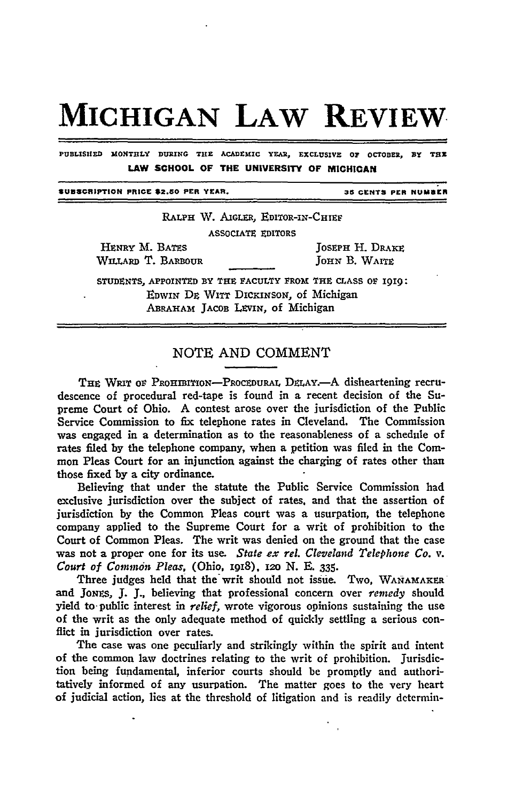# **MICHIGAN LAW REVIEW·**

PUBLISHED MONTHLY DURING THE ACADEMIC YEAR, EXCLUSIVE OF OCTOBER, BY THE LAW SCHOOL OF THE UNIVERSITY OF MICHICAN

SUBSCRIPTION PRICE \$2.50 PER YEAR.

35 CENTS PER NUMBER

RALPH W. AIGLER, EDITOR-IN-CHIEF ASSOCIATE EDITORS

HENRY M. BATES WILLARD T. BARBOUR JOSEPH H. DRAKE JOHN B. WAITE

STUDENTS, APPOINTED BY THE FACULTY FROM THE CLASS OF I9I9: EDWIN DE WITT DICKINSON, of Michigan ABRAHAM JACOB LEVIN, of Michigan

#### NOTE AND COMMENT

THE WRIT OF PROHIBITION-PROCEDURAL DELAY.-A disheartening recrudescence of procedural red-tape is found in a recent decision of the Supreme Court of Ohio. A contest arose over the jurisdiction of the Public Service Commission to fix telephone rates in Cleveland. The Commission was engaged in a determination as to the reasonableness of a schedule of rates filed by the telephone company, when a petition was filed in the Common Pleas Court for an injunction against the charging of rates other than those fixed by a city ordinance.

Believing that under the statute the Public Service Commission had exclusive jurisdiction over the subject of rates, and that the assertion of jurisdiction by the Common Pleas court was a usurpation, the telephone company applied to the Supreme Court for a writ of prohibition to the Court of Common Pleas. The writ was denied on the ground that the case was not a proper one for its use. *State ex rel. Cleveland Telephone Co. v. Court of Common Pleas, (Ohio, 1918), 120 N. E. 335.* 

Three judges held that the writ should not issue. Two, WANAMAKER and JONES, J. J., believing that professional concern over *remedy* should yield to·pubtic interest in *relief,* wrote vigorous opinions sustaining the use of the writ as the only adequate method of quickly settling a serious conflict in jurisdiction over rates.

The case was one peculiarly and strikingly within the spirit and intent of the common law doctrines relating to the writ of prohibition. Jurisdiction being fuµdamental, inferior courts should be promptly and authoritatively informed of any usurpation. The matter goes to the very heart of judicial action, lies at the threshold of litigation and is readily dctcrmin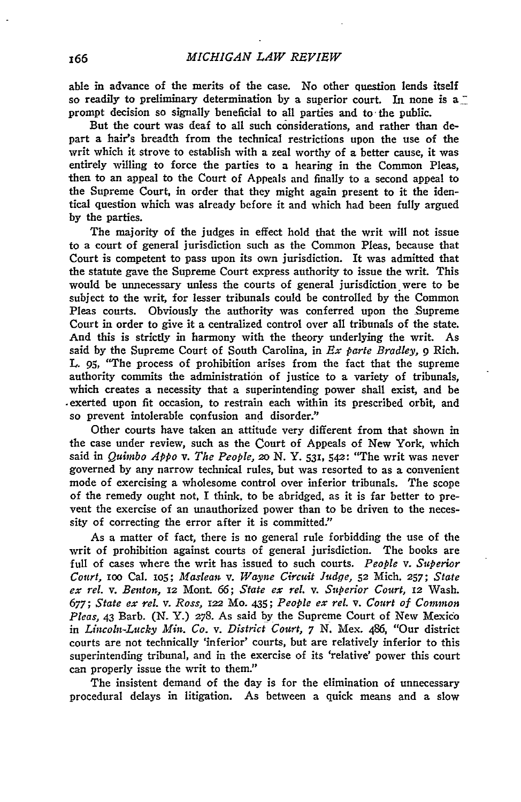able in advance of the merits of the case. No other question lends itself so readily to preliminary determination by a superior court. In none is a $\Box$ prompt decision so signally beneficial to all parties and to· the public.

But the court was deaf to all such considerations, and rather than depart a hair's breadth from the technical restrictions upon the use of the writ which it strove to establish with a zeal worthy of a better cause, it was entirely willing to force the parties to a hearing in the Common Pleas, then to an appeal to the Court of Appeals and finally to a second appeal to the Supreme Court, in order that they might again present to it the identical question which was already before it and which had been fully argued by the parties.

The majority of the judges in effect hold that the writ will not issue to a court of general jurisdiction such as the Common Pleas, because that Court is competent to pass upon its own jurisdiction. It was admitted that the statute gave the Supreme Court express authority to issue the writ. This would be unnecessary unless the courts of general jurisdiction were to be subject to the writ, for lesser tribunals could be controlled by the Common Pleas courts. Obviously the authority was conferred upon the Supreme Court in order to give it a centralized control over all tribunals of the state. And this is strictly in harmony with the theory underlying the writ. As said by the Supreme Court of South Carolina, in *Ex parte Bradley, 9* Rich. L. 95, "The process of prohibition arises from the fact that the supreme authority commits the administration of justice to a variety of tribunals, which creates a necessity that a superintending power shall exist, and be . exerted upon fit occasion, to restrain each within its prescribed orbit, and so prevent intolerable confusion and disorder."

Other courts have taken an attitude very different from that shown in the case under review, such as the Court of Appeals of New York, which said in *Quimbo Appo* v. *The People, 20* N. Y. 531, 542: "The writ was never governed by any narrow technical rules, but was resorted to as a convenient mode of exercising a wholesome control over inferior tribunals. The scope of the remedy ought not, I think. to be abridged, as it is far better to prevent the exercise of an unauthorized power than to be driven to the necessity of correcting the error after it is committed."

As a matter of fact, there is no general rule forbidding the use of the writ of prohibition against courts of general jurisdiction. The books are full of cases where the writ has issued to such courts. *People* v. *Superior Court,* IOO Cal. 105; *l\foslean* v. *Wayne Cirmit Judge,* 52 Mich. 257; *State ex rel.* v. *Benton,* 12 Mont. 66; *State ex rel.* v. *Superior Court,* 12 Wash. *677; State ex rel.* v. *Ross,* 122 Mo. 435; *People ex rel.* v. *Co14rt of Common Pleas,* 43 Barb. (N. Y.) 278. As said by the Supreme Court of New Mexico in *Lincoln-Lucky Min. Co. v. District Court, 7 N. Mex. 486, "Our district* courts are not technically 'inferior' courts, but are relatively inferior to this superintending tribunal, and in the exercise of its 'relative' power this court can properly issue the writ to them."

The insistent demand of the day is for the elimination of unnecessary procedural delays in litigation. As between a quick means and a slow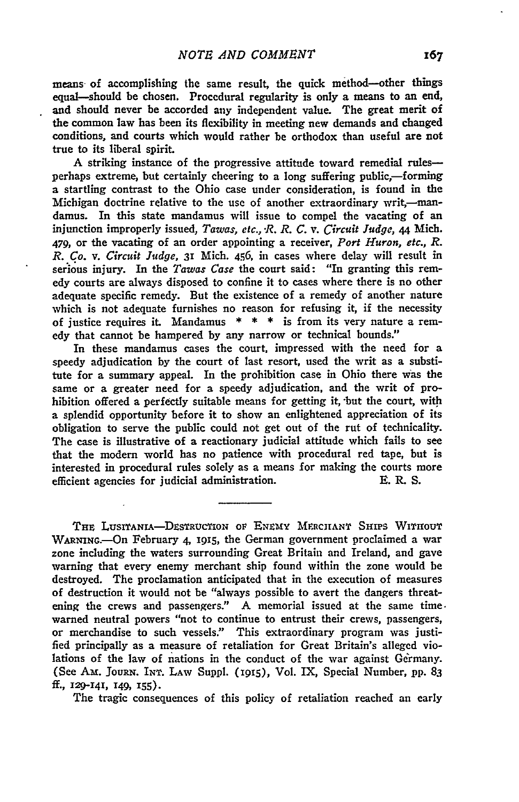means of accomplishing the same result, the quick method-other things equal-should be chosen. Procedural regularity is only a means to an end, and should never be accorded any independent value. The great merit of the common law has been its flexibility in meeting new demands and changed conditions, and courts which would rather be orthodox than useful are not true to its liberal spirit.

A striking instance of the progressive attitude toward remedial rulesperhaps extreme, but certainly cheering to a long suffering public,—forming a startling contrast to the Ohio case under consideration, is found in the Michigan doctrine relative to the use of another extraordinary writ,—mandamus. In this state mandamus will issue to compel the vacating of an injunction improperly issued, *Tawas, etc., ·R. R. C.* v. *Circuit Judge,* 44 Mich. *479,* or the vacating of an order appointing a receiver, *Port Huron, etc., R. R. Co.* v. *Circuit Judge,* 31 Mich. 456, in cases where delay will result in serious injury. In the *Tawas Case* the court said: "In granting this remedy courts are always disposed to confine it to cases where there is no other adequate specific remedy. But the existence of a remedy of another nature which is not adequate furnishes no reason for refusing it, if the necessity of justice requires it. Mandamus  $* * *$  is from its very nature a remedy that cannot be hampered by any narrow or technical bounds."

In these mandamus cases the court, impressed with the need for a speedy adjudication by the court of last resort, used the writ as a substitute for a summary appeal. In the prohibition case in Ohio there was the same or a greater need for a speedy adjudication, and the writ of prohibition offered a perfectly suitable means for getting it, but the court, with a splendid opportunity before it to show an enlightened appreciation of its obligation to serve the public could not get out of the rut of technicality. The case is illustrative of a reactionary judicial attitude which fails to see that the modern world has no patience with procedural red tape, but is interested in procedural rules solely as a means for making the courts more efficient agencies for judicial administration. E. R. S.

THE LUSITANIA-DESTRUCTION OF ENEMY MERCHANT SHIPS WITHOUT WARNING.-- On February 4, 1915, the German government proclaimed a war zone including the waters surrounding Great Britain and Ireland, and gave warning that every enemy merchant ship found within the zone would be destroyed. The proclamation anticipated that in the execution of measures of destruction it would not be "always possible to avert the dangers threatening the crews and passengers." A memorial issued at the same time· warned neutral powers "not to continue to entrust their crews, passengers, or merchandise to such vessels." This extraordinary program was justified principally as a measure of retaliation for Great Britain's alleged violations of the law of nations in the conduct of the war against Germany. (See AM. JouRN. INT. LAW Suppl. (1915), Vol. IX, Special Number, pp. 83 ff., 129-141, 149, 155).

The tragic consequences of this policy of retaliation reached an early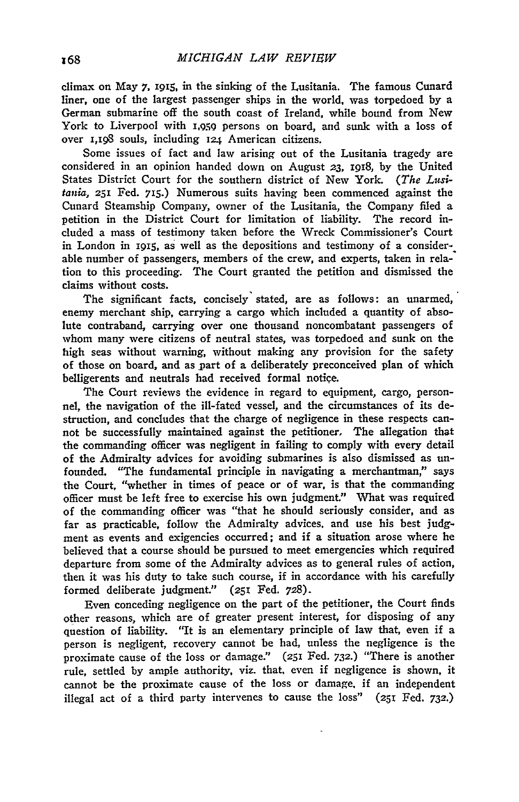climax on May 7, 1915, in the sinking of the Lusitania. The famous Cunard liner, one of the largest passenger ships in the world, was torpedoed by a German submarine off the south coast of Ireland, while bound from New York to Liverpool with l,959 persons on board, and sunk with a loss of over l,Ig8 souls, including 124 American citizens.

Some issues of fact and law arising out of the Lusitania tragedy are considered in an opinion handed down on August 23, 1918, by the United States District Court for the southern district of New York. *(The Lusitania,* 251 Fed. 715.) Numerous suits having been commenced against the Cunard Steamship Company, owner of the Lusitania, the Company filed a petition in the District Court for limitation of liability. The record included a mass of testimony taken before the Wreck Commissioner's Court in London in 1915, as well as the depositions and testimony of a considerable number of passengers, members of the crew, and experts, taken in relation to this proceeding. The Court granted the petition and dismissed the claims without costs.

The significant facts, concisely' stated, are as follows: an unarmed, enemy merchant ship, carrying a cargo which included a quantity of absolute contraband, carrying over one thousand noncombatant passengers of whom many were citizens of neutral states, was torpedoed and sunk on the high seas without warning, without making any provision for the safety of those on board, and as part of a deliberately preconceived plan of which belligerents and neutrals had received formal notice.

The Court reviews the evidence in regard to equipment, cargo, personnel, the navigation of the ill-fated vessel, and the circumstances of its destruction, and concludes that the charge of negligence in these respects cannot be successfully maintained against the petitioner. The allegation that the commanding officer was negligent in failing to comply with every detail of the Admiralty advices for avoiding submarines is also dismissed as unfounded. "The fundamental principle in navigating a merchantman," says the Court, "whether in times of peace or of war, is that the commanding officer must be left free to exercise his own judgment." What was required of the commanding officer was "that he should seriously consider, and as far as practicable, follow the Admiralty advices. and use his best judgment as events and exigencies occurred; and if a situation arose where he believed that a course should be pursued to meet emergencies which required departure from some of the Admiralty advices as to general rules of action, then it was his duty to take such course, if in accordance with his carefully formed deliberate judgment." (251 Fed. 728).

Even conceding negligence on the part of the petitioner, the Court finds other reasons, which are of greater present interest, for disposing of any question of liability. "It is an elementary principle of law that, even if a person is negligent, recovery cannot be had, unless the negligence is the proximate cause of the loss or damage." (251 Fed. 732.) "There is another rule, settled by ample authority, viz. that, even if negligence is shown, it cannot be the proximate cause of the loss or damage, if an independent illegal act of a third party intervenes to cause the loss"  $(251 \text{ Fed. } 732.)$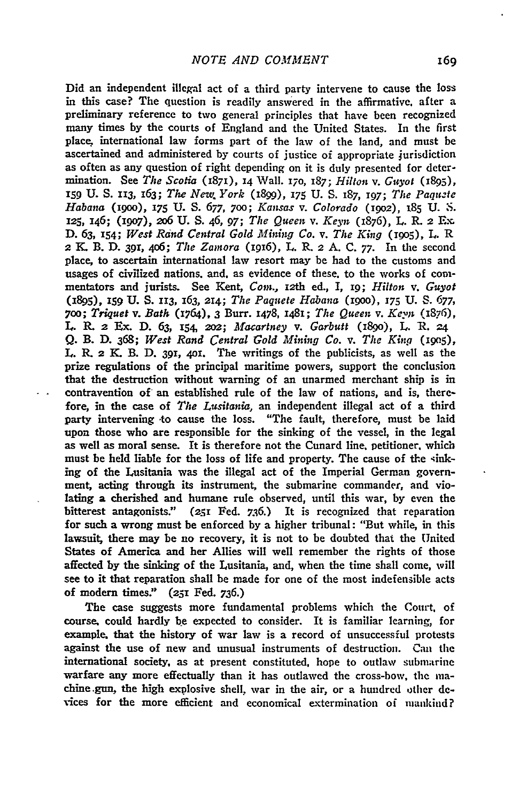Did an independent illegal act of a third party intervene to cause the loss in this case? The question is readily answered in the affirmative, after a preliminary reference to two general principles that have been recognized many times by the courts of England and the United States. In the first place, international law forms part of the law of the land, and must be ascertained and administered by courts of justice of appropriate jurisdiction as often as any question of right depending on it is duly presented for deter· mination. See *The Scotia* (1871), 14 Wall. 170, 187; *Hilton v. Guyot* (1895), 159 U. S. II3, 163; *The New. York* (1899), 175 U. S. 187, 197; *The Paq11:ite Haba11a* (1900), 175 U. S. *677,* 700; *Kansas* v. *Colorado* (1902), i85 U. S. 125, 146; (1907), *zo6* U. S. 46, 97; *The Queen* v. *Kesn* (1876), L. R. 2 Ex. D. 63, 154; *West Rand Central Gold Mining Co.* v. *The King* (1905), L. R 2 K. B. D. 391, 406; *The Zamora* (1916), L. R. 2 A. C. *77.* In the second place, to ascertain international law resort may be had to the customs and usages of civilized nations. and, as evidence of these, to the works of com· mentators and jurists. See Kent, *Com.,* 12th ed., I, 19; *Hilton* v. *Guyot*  (1895), 159 U. S. n3, 163, 214; *The Paquete Haba11a* (1900), 175 U. S. 677, 700; Triquet v. Bath (1764), 3 Burr. 1478, 1481; The Queen v. Keyn (1876), L. R. 2 Ex. D. 63, 154. 202; *Macartney* v. *Garbtitt* (18go), L. R. *Z4*  Q. B. D. 368; *West Rand Central Gold Mining Co.* v. *The King* (1905), L. R. 2 K. B. D. 391, 401. The writings of the publicists, as well as the prize regulations of the principal maritime powers, support the conclusion that the destruction without warning of an unarmed merchant ship is in contravention of an established rule of the law of nations, and is, therefore, in the case of *The Lusitania,* an independent illegal act of a third party intervening to cause the loss. "The fault, therefore, must be laid upon those who are responsible for the sinking of the vessel, in the legal as well as moral sense. It is therefore not the Cunard line, petitioner, which must be held liable for the loss of life and property. The cause of the sinking of the Lusitania was the illegal act of the Imperial German government, acting through its instrument, the submarine commander, and violating a cherished and humane rule observed, until this war, by even the bitterest antagonists."  $(251 \text{ Fed. } 736)$  It is recognized that reparation for such a wrong must be enforced by a higher tribunal : "But while, in this lawsuit, there may be no recovery, it is not to be doubted that the United States of America and her Allies will well remember the rights of those affected by the sinking of the Lusitania, and, when the time shall come, will see to it that reparation shall be made for one of the most indefensible acts of modern times." (251 Fed. 736.)

The case suggests more fundamental problems which the Court, of course, could hardly be expected to consider. It is familiar learning, for example, that the history of war law is a record of unsuccessful protests against the use of new and unusual instruments of destruction. Can the international society, as at present constituted, hope to outlaw submarine warfare any more effectually than it has outlawed the cross-bow, the machine gun, the high explosive shell, war in the air, or a hundred other devices for the more efficient and economical extermination of mankind?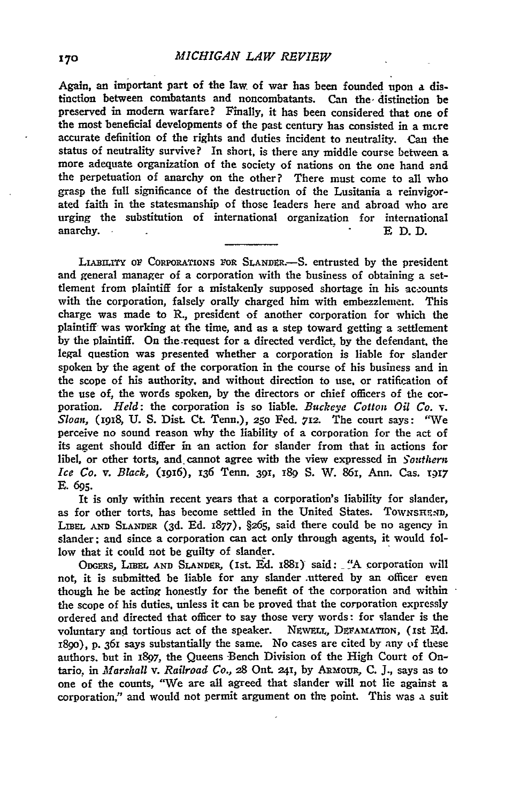Again, an important part of the law of war has been founded upon a distinction between combatants and noncombatants. Can the- distinction be preserved in modern warfare? Finally, it has been considered that one of the most beneficial developments of the past century has consisted in a mcre accurate definition of the rights and duties incident to neutrality. Can the status of neutrality survive? In short, is there any middle course between a more adequate organization of the society of nations on the one hand and the perpetuation of anarchy on the other? There must come to all who grasp the full significance of the destruction of the Lusitania a reinvigorated faith in the statesmanship of those leaders here and abroad who are urging the substitution of international organization for international anarehy. · E D. D.

LIABILITY OF CORPORATIONS FOR SLANDER.—S. entrusted by the president and general manager of a corporation with the business of obtaining a settlement from plaintiff for a mistakenly supposed shortage in his accounts with the corporation, falsely orally charged him with embezzlement. This charge was made to R, president of another corporation for which the plaintiff' was working at the time, and as a step toward getting a 3ettlement by the plaintiff. On the .request for a directed verdict, by the defendant. the legal Question was presented whether a corporation is liable for slander spoken by the agent of the corporation in the course of his business and in the scope of his authority, and without direction to use, or ratification of the use of, the words spoken, by the directors or chief officers of the corporation. *Held:* the corporation is so liable. *Buckeye Cotton Oil Co.* v. *Sloa11,* (1918, U. S. Dist. Ct. Tenn.), 250 Fed. 712. The court says: ''We perceive no sound reason why the liability of a corporation for the act of its agent should differ in an action for slander from that in actions for libel, or other torts, and cannot agree with the view expressed in *Southern Ice Co. v. Black,* (1916), 136 Tenn. 391, 189 S. W. 861, Ann. Cas. 1917 E. *6g5.* 

It is only within recent years that a corporation's liability for slander, as for other torts, has become settled in the United States. TownsHEND, LmEL AND SLANDER (3d. Ed. 1877), §265, said there could be no agency in slander: and since a corporation can act only through agents, it would follow that it could not be guilty of slander.

ODGERS, LIBEL AND SLANDER, (Ist. Ed. 1881) said: "A corporation will not, it is submitted be liable for any slander .uttered by an officer even though he be acting honestly for the benefit of the corporation and within the scope of his duties. unless it can be proved that the corporation expressly ordered and directed that officer to say those very words: for slander is the voluntary and tortious act of the speaker. NEWELL, DEFAMATION, (1st Ed. 1890), p. 361 says substantially the same. No cases are cited by any of these authors. but in 1897, the Queens Bench Division of the High Court of Ontario. in *Marshall* v. *Railroad Co.,* 28 Ont 241, by ARMOUR, C. J., says as to one of the counts, "We are all agreed that slander will not lie against a corporation," and would not permit argument on the point. This was a suit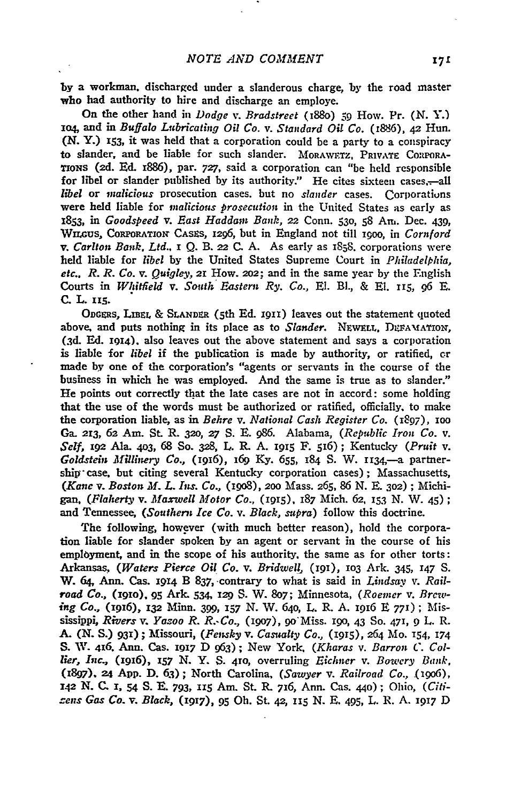by a workman, discharged under a slanderous charge, by the road master who had authority to hire and discharge an employe.

On the other hand in *Dodge* v. *Bradstreet* (188o) *59* How. Pr. (N. Y.) 104, and in *Buffalo Lubricating Oil Co.* v. *Standard* Oil *Co.* (1886), 42 Hun. (N. Y.) 153, it was held that a corporation could be a party to a conspiracy to slander, and be liable for such slander. MORAWETZ, PRIVATE CORPORArions (2d. Ed. 1886), par.  $727$ , said a corporation can "be held responsible for libel or slander published by its authority." He cites sixteen cases,—all *libel* or *malicious* prosecution cases. but no *slander* cases. Corporations were held liable for *malicious prosecution* in the United States as early as 1853, in *Goodspeed* v. *East Haddam Bank, 22* Conn. 530, 58 Am. Dec. 439, WILGUS, CORPORATION CASES, 1296, but in England not till 1900, in *Cornford* v. *Carlton Bank, Ltd.,* I Q. B. 22 C. A. As early as 1858, corporations were held liable for *libel* by the United States Supreme Court in *Philadelphia, etc., R.R. Co. v. Quigley, 21 How. 202; and in the same year by the F.nglish* Courts in *Whitfield* v. *South. Eastern Ry. Co.,* El. Bl., & El. u5, g6 E. C. L. 115.

ODGERS, LIBEL & SLANDER (5th Ed. 1911) leaves out the statement quoted above. and puts nothing in its place as to *Slander*. NEWELL, DEFAMATION, (3d. Ed. 1914), also leaves out the above statement and says a corporation is liable for *libel* if the publication is made by authority, or ratified, er made by one of the corporation's "agents or servants in the course of the business in which he was employed. And the same is true as to slander." He points out correctly that the late cases are not in accord: some holding that the use of the words must be authorized or ratified, officially, to make the corporation liable, as in *Behre* v. *National Cash Register Co.* (1897), 100 Ga. 213, 62 Am. St. R. 320, 27 S. E. 986. Alabama, *(Republic Iron Co. v. Self,* 192 Ala. 403, 68 So. 328. L. R. A. 1915 F. 516) ; Kentucky *(Pruit* v. *Goldstein Millinery Co.,* (1916), 169 Ky. 655, 184 S. W. II34,-a partnership case, but citing several Kentucky corporation cases); Massachusetts, *(Kane* v. *Boston* M. L. *Ins. Co.,* (1go8), 200 Mass. 265, 86 N. E. 302); Michigan, *(Flaherty v. Maxwell Motor Co.*, (1915), 187 Mich. 62, 153 N. W. 45); and Tennessee, *(Soutliem Ice Co.* v. *Black,* supra) follow this doctrine.

The following, however (with much better reason), hold the corporation liable for slander spoken by an agent or servant in the course of his employment, and in the scope of his authority, the same as for other torts: Arkansas, *(Waters Pierce Oil Co.* v. *Bridwelb* (191), 103 Ark. 345, 147 S. W. 64, Ann. Cas. 1914 B 837, contrary to what is said in *Lindsay v. Railroad Co.,* (1910), 95 Ark 534. 129 S. W. 8o7; Minnesota, *(Roemer* v. *Brewing Co.,* (1916), 132 Minn. 399, 157 N. W. 640, L. R. A. 1916 E 771); Mississippi, *Rivers* v. *Yazoo R. R.-Co.,* (1907), 90"Miss. 190, 43 So. 471, *9* L. R. A (N. S.) 931); Missouri, *(Pensky* v. *Camalty Co.,* (1915), 264 Mo. 154, 174 S. W. 416, Ann. Cas. 1917 D 963); New York. *(Kharas v. Barron C. Collier,* b1c., (1916), *157* N. Y. S. 410, overruling *Eichner* v. *Bowery Bank,*  (1897), 24 App. D. 6.1); North Carolina, *(Sawyer* v. *Railroad Co.,* {1go6), 142 N. C. I, 54 S. E. *793,* II5 Am. St. R. 716, Ann. Cas. 440); Ohio, *(Citi- ::e11s Gas Co.* v. *Black,* (1917), *95* Oh. St. 42, n5 N. E. *495,* L. R A. 1917 D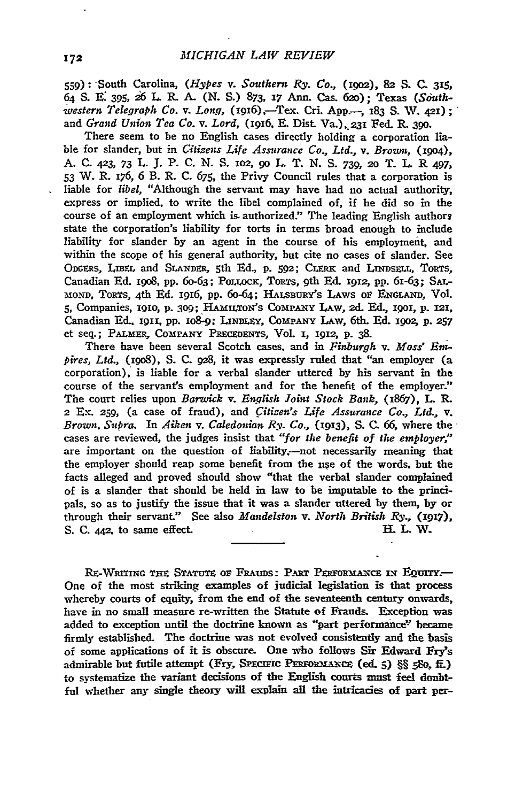559): ·South Carolina, *(Hypes* v. *Southern Ry. Co.,* (1902), 82 S. C. 315, 64 S. ~ 395, 26 L. R. A. (N. S.) 873, 17 Ann. Cas. 620); Texas *(Southwestern Telegraph Co. v. Long, (1916)*,-Tex. Cri. App.-, 183 S. W. 421); and *Grand Union Tea Co. v. Lord,* (1916, E. Dist. Va.), 231 Fed. R. 390.

There seem to be no English cases directly holding a corporation liable for slander, but in *Citizens Life Assurance Co., Ltd.,* v. *Brown,* (1904), A. C. 423, 73 L. J.P. C. N. S. 102, 90 L. T. N. S. *739,* 20 T. L. R 497, 53 W. R. 176, 6 B. R. C. *675,* the Privy Council rules that a corporation is liable for *libel,* "Although the servant may have had no actual authority, express or implied. to write the libel complained of, if he did so in the course of an employment which is. authorized." The leading English authon state the corporation's liability for torts in terms broad enough to include liability for slander by an agent in the course of his employment, and within the scope of his general authority, but cite no cases of slander. See ODGERS, LIBEL and SLANDER, 5th Ed., p. 592; CLERK and LINDSELL, TORTS, Canadian Ed. 1908, pp. 6o-63; POLLOCK, TORTS, 9th Ed. 1912, pp. 61-63; SAL-MOND, TORTS, 4th Ed. 1916, pp. 6o-64; liALSBURy's LAws oF ENGLAND, Vol. 5, Companies, 1910, p. 309; HAMILTON'S CoMPANY LAW, 2d. Ed., 1901, p. 121, Canadian Ed., 1911, pp. 108-9; LINDLEY, COMPANY LAW, 6th. Ed. 1902, p. 257 et seq.; PALMER, CoMPANY PRECEDENTS, Vol. l, 1912, p. 38.

There have been several Scotch cases, and in *Finburgh* v. *Moss' Enzpi.res, Ltd.,* (1go8), S. C. 928, it was expressly ruled that "an employer (a corporation), is liable for a verbal slander uttered by his servant in the course of the servant's employment and for the benefit of the employer." The court relies upon *Barwick* v. *English loitl-t Stock Bank,* (1867), L. R. 2 Ex. 259, (a case of fraud), and *Citizen's Life Assurance Co., Ltd.*, v. *Brown. Supra.* In *Aiken* v. *Caledonian Ry. Co.,* (1913), S. C. 66, where the cases are reviewed, the judges insist that *"for the benefit of the employer;•*  are important on the question of liability,-not necessarily meaning that the employer should reap some benefit from the use of the words, but the facts alleged and proved should show "that the verbal slander complained of is a slander that should be held in law to be imputable to the principals, so as to justify the issue that it was a slander uttered by them, by or through their servant." See also *Mandelston* v. *North British Ry.,* (1917), S. C.  $442$ , to same effect. H. L. W.

RE-WRITING THE STATUTE OF FRAUDS: PART PERFORMANCE IN EQUITY.-One of the most striking examples of judicial legislation is that process whereby courts of equity, from the end of the seventeenth century onwards, have in no small measure re-written the Statute of Frauds. Exception was added to exception until the doctrine known as "part performance" became firmly established. The doctrine was not evoked consistently and the basis of some applications of it is obscure. One who follows Sir Edward Fry's admirable but futile attempt (Fry, SPECIFIC PERFORMANCE (ed. 5) §§ 580, ff.) to systematize the variant decisions of the English courts mnst feel donbtful whether any single theory will explain all the intricacies of part per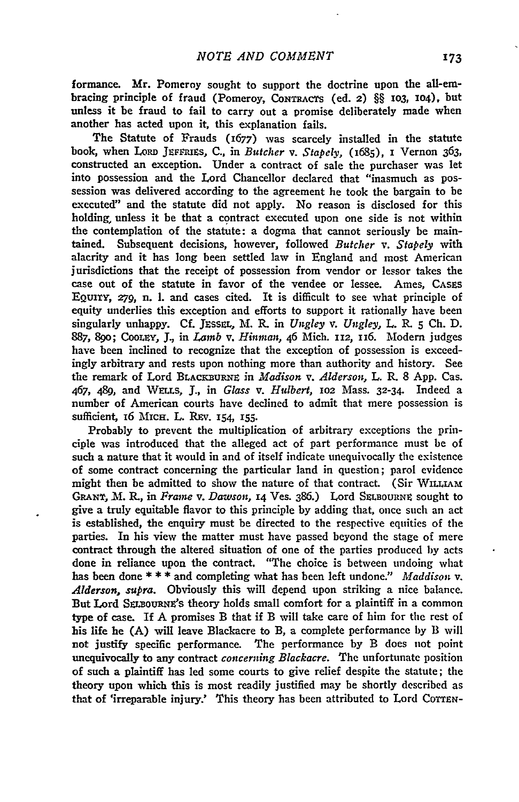formance. Mr. Pomeroy sought to support the doctrine upon the all-embracing principle of fraud (Pomeroy, Contracts (ed. 2)  $\S$ § 103, 104), but unless it be fraud to fail to carry out a promise deliberately made when another has acted upon it, this explanation fails.

The Statute of Frauds (1677) was scarcely installed in the statute book, when LoRD JEFFRIES, C., in *Butcher* v. *Stapcly,* (I685), I Vernon 363, constructed an exception. Under a contract of sale the purchaser was let into possession and the Lord Chancellor declared that "inasmuch as possession was delivered according to the agreement he took the bargain to be executed" and the statute did not apply. No reason is disclosed for this holding, unless it be that a contract executed upon one side is not within the contemplation of the statute: a dogma that cannot seriously be maintained. Subsequent decisions, however, followed *Butcher* v. *Stapely* with alacrity and it has long been settled law in England and most American jurisdictions that the receipt of possession from vendor or lessor takes the case out of the statute in favor of the vendee or lessee. Ames, CASES EQUITY, *Z79,* n. 1. and cases cited. It is difficult to see what principle of equity underlies this exception and efforts to support it rationally have been singularly unhappy. Cf. JESSEL, M. R. in *Ungley* v. *Ungley,* L. R. 5 Ch. D. 887, 8go; CooLEY, *].,* in *Lamb* v. *Hinman,* 46 Mich. u2, u6. Modem judges have been inclined to recognize that the exception of possession is exceedingly arbitrary and rests upon nothing more than authority and history. See the remark of Lord BLACKllURNE in *Madison* v. *Alderson,* L. R. 8 App. Cas. 467, 489, and WELLS, J., in *Glass v. Hulbert*, 102 Mass. 32-34. Indeed a number of American courts have declined to admit that mere possession is sufficient, 16 MICH. L. REV. 154, 155.

Probably to prevent the multiplication of arbitrary exceptions the principle was introduced that the alleged act of part performance must be of such a nature that it would in and of itself indicate unequivocally the existence of some contract concerning the particular land in question ; parol evidence might then be admitted to show the nature of that contract. (Sir WILLIAM GRANT, M. R., in *Frame v. Dawson*, 14 Ves. 386.) Lord SELBOURNE sought to give a truly equitable flavor to this principle by adding that, once such an act is established, the enquiry must be directed to the respective equities of the parties. In his view the matter must have passed beyond the stage of mere contract through the altered situation of one of the parties produced by acts done in reliance upon the contract. "The choice is between undoing what has been done\* \* \* and completing what has been left undone." *Maddison* v. *Alderson, supra.* Obviously this will depend upon striking a nice balance. But Lord SELBOURNE's theory holds small comfort for a plaintiff in a common type of case. If A promises B that if B will take care of him for the rest of his life he (A) will leave Blackacre to B, a complete performance by B will not justify specific performance. The performance by B does not point unequivocally to any contract *concerning Blackacre*. The unfortunate position of such a plaintiff has led some courts to give relief despite the statute ; the theory upon which this is most readily justified may be shortly described as that of 'irreparable injury.' This theory has been attributed to Lord Corren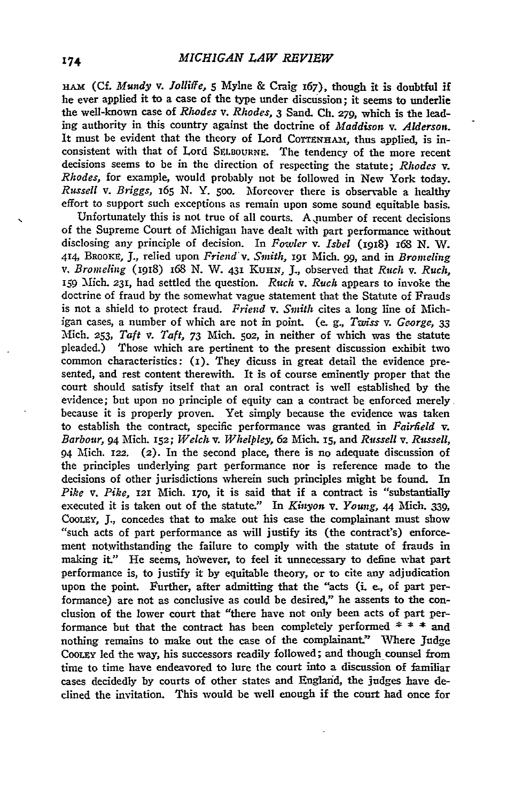HAM (Cf. *Mundy* v. *Jolliffe,* 5 Mylne & Craig 167), though it is doubtful if he ever applied it to a case of the type under discussion; it seems to underlie the well-known case of *Rhodes* v. *Rhodes,* 3 Sand. Ch. *279,* which is the leading authority in this country against the doctrine of *Maddison* v. *Alderson.*  It must be evident that the theory of Lord COTTENHAM, thus applied, is inconsistent with that of Lord SF.I.BOURNE. The tendency of the more recent decisions seems to be in the direction of respecting the statute; *Rhodes* v. *Rhodes,* for example, would probably not be followed in New York today. *Russell v. Briggs,* 165 N. Y. 500. Moreover there is observable a healthy effort to support such exceptions as remain upon some sound equitable basis.

Unfortunately this is not true of all courts. A number of recent decisions of the Supreme Court of Michigan have dealt with part performance without disclosing any principle of decision. In *Fowler* v. *Isbel* (1918} 168 N. W. 414 BROOKE, J., relied upon *Friend·* v. *Smith,* 191 Mich. 99, and in *Brome/fog*  v. *Bromeling* (1918) 168 N. W. 431 KUHN, J., observed that *Ruch* v. *R11cli,*  159 ~Iich. 231, had settled the question. *Ruch* v. *Ruch* appears to invoke the doctrine of fraud by the somewhat vague statement that the Statute of Frauds is not a shield to protect fraud. *Friend* v. *Smith* cites a long line of Michigan cases, a number of which are not in point. (e. g., *Twiss v. George*, 33 Mich. 253, Taft v. Taft, 73 Mich. 502, in neither of which was the statute pleaded.) Those which are pertinent to the present discussion exhibit two common characteristics:  $(i)$ . They dicuss in great detail the evidence presented, and rest content therewitli. It is of course eminently proper that the court should satisfy itself that an oral contract is well established by the evidence; but upon no principle of equity can a contract be enforced merely. because it is properly proven. Yet simply because the evidence was taken to establish the contract, specific performance was granted in *Fairfield* v. *Barbour,* 94 Mich. 152; *Welch* v. *Whelpley,* 62 Mich. 15, and *Rt1ssell v. Russell,*  94 Mich. 122. (2). In the second place, there is no adequate discussion of the principles underlying part performance nor is reference made to the decisions of other jurisdictions wherein such principles might be found. In *Pike* v. *Pike*, 121 Mich. 170, it is said that if a contract is "substantially executed it is taken out of the statute." In *Kinyon* v. *Young,* 44 Mich. 339, Coor.Ey, J., concedes that to make out his case the complainant must show "such acts of part performance as will justify its (the contract's) enforcement notwithstanding the failure to comply with the statute of frauds in making it." He seems, however, to feel it unnecessary to define what part performance is, to justify it by equitable theory, or to cite any adjudication upon the point. Further, after admitting that the "acts (i. e., of part performance) are not as conclusive as could be desired," he assents to the conclusion of the lower court that "tliere have not only been acts of part performance but that the contract has been completely performed  $* * *$  and nothing remains to make out the case of the complainant." Where Judge CooLEY led the way, his successors readily followed; and though counsel from time to time have endeavored to lure the court into a discussion of familiar cases decidedly by courts of other states and Englarid, the judges have declined the invitation. This would be well enough if the court had once for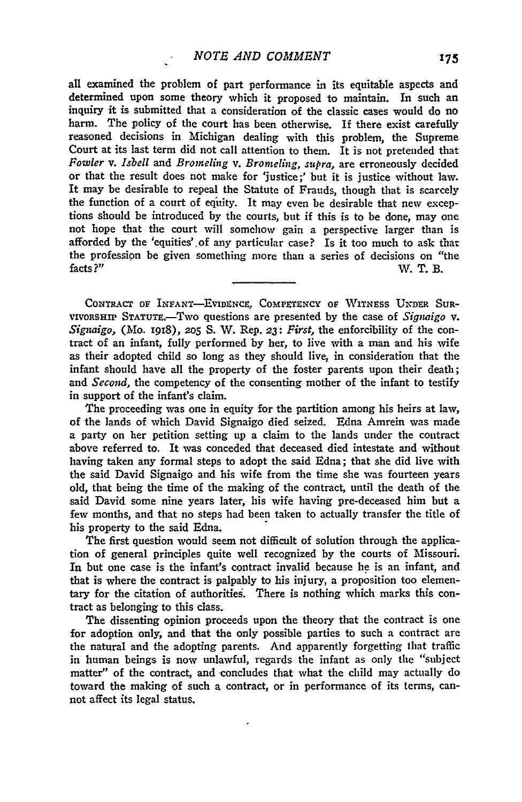all examined the problem of part performance in its equitable aspects and determined upon some theory which it proposed to maintain. In such an inquiry it is submitted that a consideration of the classic cases would do no harm. The policy of the court has been otherwise. If there exist carefully reasoned decisions in Michigan dealing with this problem, the Supreme Court at its last term did not call attention to them. It is not pretended that Fowler v. Isbell and *Bromeling v. Bromeling*, supra, are erroneously decided or that the result does not make for 'justice;' but it is justice without law. It may be desirable to repeal the Statute of Frauds, though that is scarcely the function of a court of equity. It may even be desirable that new exceptions should be introduced by the courts, but if this is to be done, may one not hope that the court will somehow gain a perspective larger than is afforded by the 'equities' of any particular case? Is it too much to ask that the profession be given something more than a series of decisions on "the facts?"  $W$ . T. B.  $r_{\rm max}$  acts?" W. T. B.

CONTRACT OF INFANT-EVIDENCE, COMPETENCY OF WITNESS UNDER SUR-VIVORSHIP STATUT.E.-Two questions are presented by the case of *Sig11aigo* v. *Signaigo,* (Mo. 1918), 205 S. W. Rep. 23: *First,* the enforcibility of the contract of an infant, fully performed by her, to live with a man and his wife as their adopted child so long as they should live, in consideration that the infant should have all the property of the foster parents upon their death; and *Second,* the competency of the consenting mother of the infant to testify in support of the infant's claim.

The proceeding was one in equity for the partition among his heirs at law, of the lands of which David Signaigo died seized. Edna Amrein was made a party on her petition setting up a claim to the lands under the contract above referred to. It was conceded that deceased died intestate and without having taken any formal steps to adopt the said Edna; that she did live with the said David Signaigo and his wife from the time she was fourteen years old, that being the time of the making of the contract, until the death of the said David some nine years later, his wife having pre-deceased him but a few months, and that no steps had been taken to actually transfer the title of his property to the said Edna.

The first question would seem not difficult of solution through the application of general principles quite well recognized by the courts of Missouri. In but one case is the infant's contract invalid because he is an infant, and that is where the contract is palpably to his injury, a proposition too elementary for the citation of authorities. There is nothing which marks this contract as belonging to this class.

The dissenting opinion proceeds upon the theory that the contract is one for adoption only, and that the only possible parties to such a contract are the natural and the adopting parents. And apparently forgetting that traffic in human beings is now unlawful, regards the infant as only the "subject matter" of the contract, and concludes that what the child may actually do toward the making of such a contract, or in performance of its terms, cannot affect its legal status.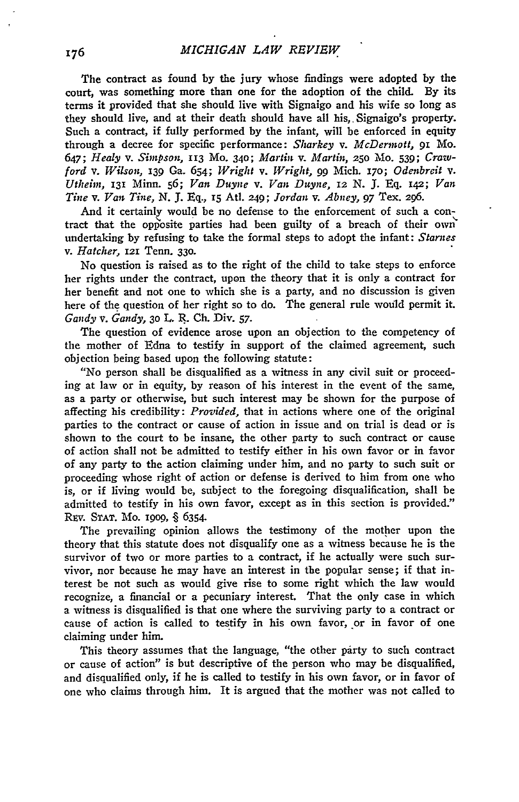The contract as found by the jury whose findings were adopted by the court, was something more than one for the adoption of the child. By its terms it provided that she should live with Signaigo and his wife so long as they should live, and at their death should have all his,. Signaigo's property. Such a contract, if fully performed by the infant, will be enforced in equity through a decree for specific performance: *Sharkey* v. *McDermott,* 91 Mo. 647; *Healy* v. *Simpson,* n3 Mo. 340; *Martfo* v. *Martin,* 250 Mo. 539; *Crawford* v. *Wilson,* 139 Ga. 654; *Wright* v. *Wright, 99* Mich. 170; *Odenbreit* v. *Utlzeim,* 131 Minn. 56; *Van D1ty11e* v. *Va1i D1ty11e,* 12 N. J. Eq. 142; *Vaii Tine* v. *Van Tine,* N. J. Eq., 15 At!. 249; *Jordan* v. *Ab11ey, 97* Tex. 296.

And it certainly would be no defense to the enforcement of such a contract that the opposite parties had been guilty of a breach of their own' undertaking by refusing to take the formal steps to adopt the infant: *Starnes*  v. *Hatcher,* 121 Tenn. 330. ·

No question is raised as to the right of the child to take steps to enforce her rights under the contract, upon the theory that it is only a contract for her benefit and not one to which she is a party, and no discussion is given here of the question of her right so to do. The general rule would permit it. *Gandy v. Gandy, 30 L. R. Ch. Div. 57.* 

The question of evidence arose upon an objection to the competency of the mother of Edna to testify in support of the claimed agreement, such objection being based upon the following statute:

"No person shall be disqualified as a witness in any civil suit or proceeding at law or in equity, by reason of his interest in the event of the same, as a party or otherwise, but such interest may be shown for the purpose of affecting his credibility: *Provided,* that in actions where one of the original parties to the contract or cause of action in issue and on trial is dead or is shown to the court to be insane, the other party to such contract or cause of action shall not be admitted to testify either in his own favor or in favor of any party to the action claiming under him, and no party to such suit or proceeding whose right of action or defense is derived to him from one who is, or if living would be, subject to the foregoing disqualification, shall be admitted to testify in his own favor, except as in this section is provided." REV. STAT. Mo. 1909, § 6354.

The prevailing opinion allows the testimony of the mother upon the theory that this statute does not disqualify one as a witness because he is the survivor of two or more parties to a contract, if he actually were such survivor, nor because he may have an interest in the popular sense; if that interest be not such as would give rise to some right which the law would recognize, a financial or a pecuniary interest. That the only case in which a witness is disqualified is that one where the surviving party to a contract or cause of action is called to testify in his own favor, or in favor of one claiming under him.

This theory assumes that the language, "the other party to such contract or cause of action" is but descriptive of the person who may be disqualified, and disqualified only, if he is called to testify in his own favor, or in favor of one who claims through him. It is argued that the mother was not called to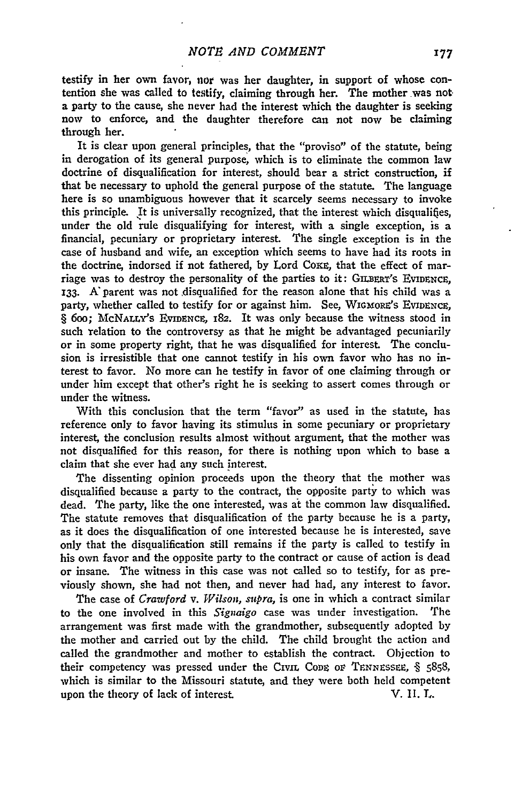testify in her own favor, nor was her daughter, in support of whose contention she was called to testify, claiming through her. The mother was nota party to the cause, she never had the interest which the daughter is seeking now to enforce, and the daughter therefore can not now be claiming through her.

It is clear upon general principles, that the "proviso" of the statute, being in derogation of its general purpose; which is to eliminate the common law doctrine of disqualification for interest, should bear a strict construction, if that be necessary to uphold the general purpose of the statute. The language here is so unambiguous however that it scarcely seems necessary to invoke this principle. Jt is universally recognized, that the interest which disqualifies, under the old rule disqualifying for interest, with a single exception, is a financial, pecuniary or proprietary interest. The single exception is in the case of husband and wife, an exception which seems to have had its roots in the doctrine, indorsed if not fathered, by Lord COKE, that the effect of marriage was to destroy the personality of the parties to it: GILBERT'S EVIDENCE, 133. A parent was not disqualified for the reason alone that his child was a party, whether called to testify for or against him. See, WIGMoRE's EVIDENCE, § 600; McNALLy's EVIDENCE, 182. It was only because the witness stood in such relation to the controversy as that he might be advantaged pecuniarily or in some property right, that he was disqualified for interest. The conclusion is irresistible that one cannot testify in his own favor who has no interest to favor. No more can he testify in favor of one claiming through or under him except that other's right he is seeking to assert comes through or under the witness.

With this conclusion that the term "favor'' as used in the statute, has reference only to favor having its stimulus in some pecuniary or proprietary interest, the conclusion results almost without argument, that the mother was not disqualified for this reason, for there is nothing upon which to base a claim that she ever had any such interest.

The dissenting opinion proceeds upon the theory that the mother was disqualified because a party to the contract, the opposite party to which was dead. The party, like the one interested, was at the common law disqualified. The statute removes that disqualification of the party because he is a party, as it does the disqualification of one interested because he is interested, save only that the disqualification still remains if the party is called to testify in his own favor and the opposite party to the contract or cause of action is dead or insane. The witness in this case was not called so to testify, for as previously shown, she had not then, and never had had, any interest to favor.

The case of *Crawford v. Wilson, supra*, is one in which a contract similar to the one involved in this Signaigo case was under investigation. The arrangement was first made with the grandmother, subsequently adopted by the mother and carried out by the child. The child brought the action and called the grandmother and mother to establish the contract. Objection to their competency was pressed under the CIVIL CoDE OF TENNESSEE,  $\S$  5858, which is similar to the Missouri statute, and they were both held competent upon the theory of lack of interest. V. II. L.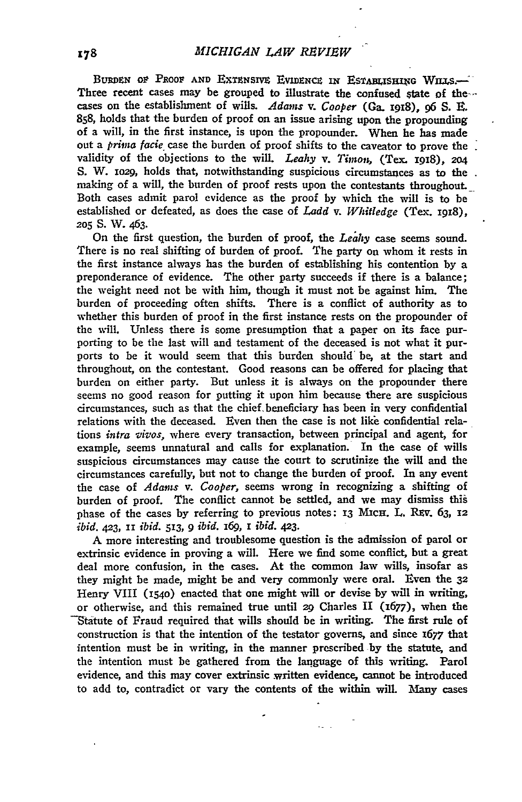BURDEN OF PROOF AND EXTENSIVE EVIDENCE IN ESTABLISHING WILLS. Three recent cases may be grouped to illustrate the confused state of the-cases on the establishment of wills. Adams v. Cooper (Ga. 1918), 96 S. E. 858, holds that the burden of proof on an issue arising upon the propounding of a will, in the first instance, is upon the propounder. When he has made out a *prima facie* case the burden of proof shifts to the caveator to prove the validity of the objections to the will. *Leahy* v. *Timou,* (Tex. 1918), 204 S. W. 1029, holds that, notwithstanding suspicious circumstances as to the. making of a will, the burden of proof rests upon the contestants throughout. Both cases admit parol evidence as the proof by which the will is to be established or defeated, as does the case of *Ladd* v. *Whitledge* (Tex. 1918), *<sup>205</sup>*s. w. 463.

On the first question, the burden of proof, the *Leahy* case seems sound. There is no real shifting of burden of proof. The party on whom it rests in the first instance always has the burden of establishing his contention by a preponderance of evidence. The other party succeeds if there is a balance; the weight need not be with him, though it must not be against him. The burden of proceeding often shifts. There is a conflict of authority as to whether this burden of proof in the first instance rests on the propounder of the will. Unless there is some presumption that a paper on its face purporting to be the last will and testament of the deceased is not what it purports to be it would seem that this burden should. be, at the start and throughout, on the contestant. Good reasons can be offered for placing that burden on either party. But unless it is always on the propounder there seems no good reason for putting it upon him because there are suspicious circumstances, such as that the chief. beneficiary has been in very confidential relations with the deceased. Even then the case is not like confidential relations *intra vivos,* where every transaction, between principal and agent, for example, seems unnatural and calls for explanation. In the case of wills suspicious circumstances may cause the court to scrutinize the will and the circumstances carefully, but not to change the burden of proof. In any event the case of *Adams* v. *Cooper,* seems wrong in recognizing a shifting of burden of proof. The conflict cannot be settled, and we may dismiss this phase of the cases by referring to previous notes:  $13$  Mich. L. REV. 63,  $12$ ibid. 423, II ibid. 513, 9 ibid. 169, I ibid. 423.

A more interesting and troublesome question is the admission of parol or extrinsic evidence in proving a will. Here we find some conflict, but a great deal more confusion, in the cases. At the common law wills, insofar as they might be made, might be and very commonly were oral. Even the 32 Henry VIII (1540) enacted that one might will or devise by will in writing, or otherwise, and this remained true until 29 Charles II (1677), when the Statute of Fraud required that wills should be in writing. The first rule of construction is that the intention of the testator governs, and since 1677 that intention must be in writing, in the manner prescribed by the statute, and the intention must be gathered from the language of this writing. Parol evidence, and this may cover extrinsic written evidence, cannot be introduced to add to, contradict or vary the contents of the within will. Many cases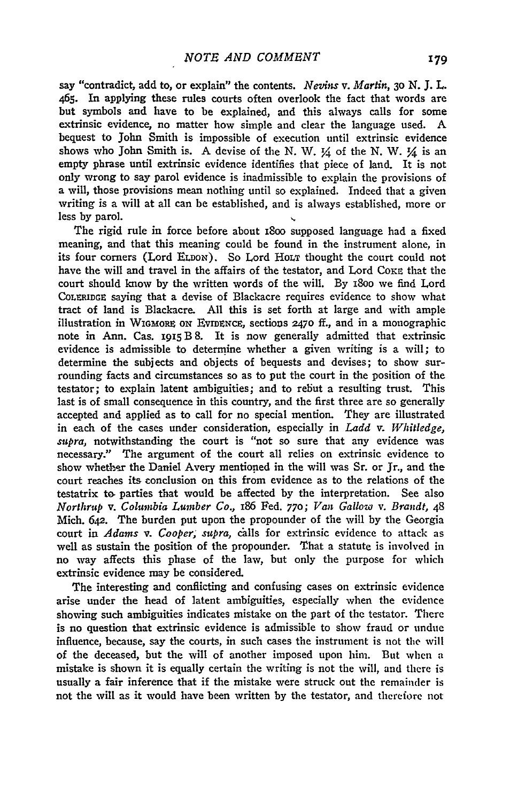say "contradict, add to, or explain" the contents. *Nevins* v. *Martin,* 30 N. J. L. 465. In applying these rules courts often overlook the fact that words are but symbols and have to be explained, and this always calls for some extrinsic evidence, no matter how simple and clear the language used. A bequest to John Smith is impossible of execution until extrinsic evidence shows who John Smith is. A devise of the N. W.  $\frac{1}{4}$  of the N. W.  $\frac{1}{4}$  is an empty phrase until extrinsic evidence identifies that piece of land. It is not only wrong to say parol evidence is inadmissible to explain the provisions of a will, those provisions mean nothing until so explained. Indeed that a given writing is a will at all can be established, and is always established, more or less by parol.

The rigid rule in force before about 1800 supposed language had a fixed meaning, and that this meaning could be found in the instrument alone, in its four comers (Lord ELDON). So Lord HOLT thought the court could not have the will and travel in the affairs of the testator, and Lord COKE that the court should know by the written words of the will. By 18oo we find Lord COLERIDGE saying that a devise of Blackacre requires evidence to show what tract of land is Blackacre. All this is set forth at large and with ample illustration in W1GM0&£ ON EvmENct, sections 2470 ff., and in a monographic note in Ann. Cas. 1915 B 8. It is now generally admitted that extrinsic evidence is admissible to determine whether a given writing is a will; to determine the subjects and objects of bequests and devises; to show surrounding facts and circumstances so as to put the court in the position of the testator; to explain latent ambiguities; and to rebut a resulting trust. This last is of small consequence in this country, and the first three are so generally accepted and applied as to call for no special mention. They are illustrated in each of the cases under consideration, especially in *Ladd v. Whitledge, supra,* notwithstanding the court is "not so sure that any evidence was necessary." The argument of the court all relies on extrinsic evidence to show whether the Daniel Avery mentioned in the will was Sr. or Jr., and the court reaches its conclusion on this from evidence as to the relations of the testatrix to. parties that would be affected by the interpretation. See also *Northrup* v. *Columbia Lumber Co.,* 186 Fed. 770; *Va1i Gallow* v. *Brandt,* 48 Mich. 642. The burden put upon the propounder of the will by the Georgia court in *Adams* v. *Cooper; supra,* calls for extrinsic evidence to attack as well as sustain the position of the propounder. That a statute is involved in no way affects this phase of the law, but only the purpose for which extrinsic evidence may be considered.

The interesting and conflicting and confusing cases on extrinsic evidence arise under the head of latent ambiguities, especially when the evidence showing such ambiguities indicates mistake on the part of the testator. There is no question that extrinsic evidence is admissible to show fraud or undue influence, because, say the courts, in such cases the instrument is not the will of the deceased, but the will of another imposed upon him. But when a mistake is shown it is equally certain the writing is not the will, and there is usually a fair inference that if the mistake were struck out the remainder is not the will as it would have been written by the testator, and therefore not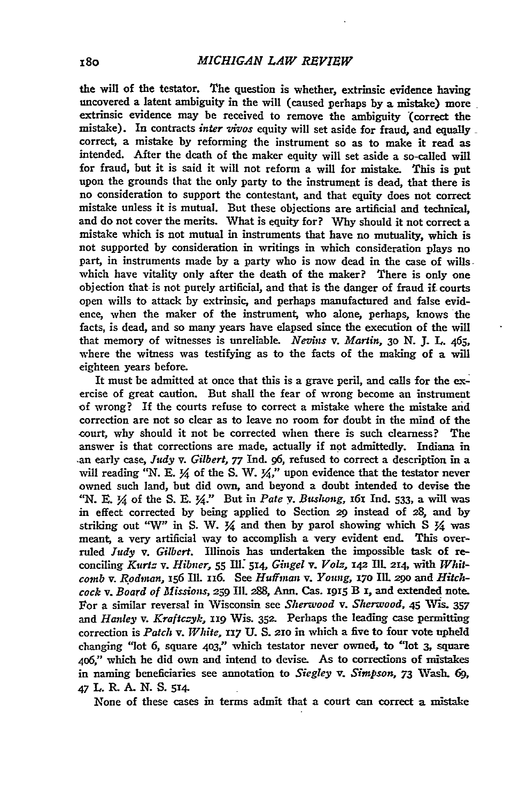the will of the testator. The question is whether, extrinsic evidence having uncovered a latent ambiguity in the will (caused perhaps by a mistake) more extrinsic evidence may be received to remove the ambiguity {correct the mistake). In contracts *inter vivas* equity will set aside for fraud, and equally\_ correct, a mistake by reforming the instrument so as to make it read as intended. After the death of the maker equity will set aside a so-called will for fraud, but it is said it will not reform a will for mistake. This is put upon the grounds that the only party to the instrument is dead, that there is no consideration to support the contestant, and that equity does not correct mistake unless it is mutual. But these objections are artificial and technical, and do not cover the merits. What is equity for? Why should it not correct a mistake which is not mutual in instruments that have no mutuality, which is not supported by consideration in writings in which consideration plays no part, in instruments made by a party who is now dead in the case of wills which have vitality only after the death of the maker? There is only one objection that is not purely artificial, and that is the danger of fraud if. courts open wills to attack by extrinsic, and perhaps manufactured and false evidence, when the maker of the instrument, who alone, perhaps, knows the facts, is dead, and so many years have elapsed since the execution of the will that memory of witnesses is unreliable. *Nevins* v. *Martin,* 30 N. J. L. 465, where the witness was testifying as to the facts of the making of a will eighteen years before.

It must be admitted at once that this is a grave peril, and calls for the exercise of great caution. But shall the fear of wrong become an instrument of wrong? If the courts refuse to correct a mistake where the mistake arid correction are not so clear as to leave no room for doubt in the mind of the .court, why should it not be corrected when there is such clearness? The answer is that corrections are made, actually if not admittedly. Indiana in .an early case, *Judy* v. *Gilbert, 77* Ind. g6, refused to correct a description in a will reading "N. E.  $\frac{1}{4}$  of the S. W.  $\frac{1}{4}$ ," upon evidence that the testator never owned such land, but did own, and beyond a doubt intended to devise the "N. E. 1/4 of the S. E. 1/4." But in *Pate v. Busluong*, 161 Ind. 533, a will was in effect corrected by being applied to Section 29 instead of 28, and by striking out "W" in S. W.  $\frac{1}{4}$  and then by parol showing which S  $\frac{1}{4}$  was meant, a very artificial way to accomplish a very evident end. This overruled *Judy* v. *Gilbert.* Illinois has undertaken the impossible task of reconciling *Kurt::* v. *Hibner,* 55 *m:* 514, *Gingel* v. *Volz,* 142 Ill 214, with *Whitcomb* v. *Rodman,* ls6 Ill. n6. See *Huffma11* v. *Yom1g,* 170 Ill 290 and *Hitch*cock v. Board of Missions, 259 Ill. 288, Ann. Cas. 1915 B 1, and extended note. For a similar reversal in Wisconsin see *Sherwood* v. *Sherwood*, 45 Wis. 357 and *Ha11ley* v. *Kraftc::yk,* 119 Wis. 352- Perhaps the leading case permitting correction is *Patch v. White*, 117 U. S. 210 in which a five to four vote upheld changing ''lot 6, square 403," which testator never owned, to ''lot 3, square 4o6," which he did own and intend to de\'isc. As to corrections of mistakes in naming beneficiaries see annotation to *Siegley v. Simpson*, 73 Wash. 69, 47 L. R. A. N. S. 514

None of these cases in terms admit that a court can correct a mistake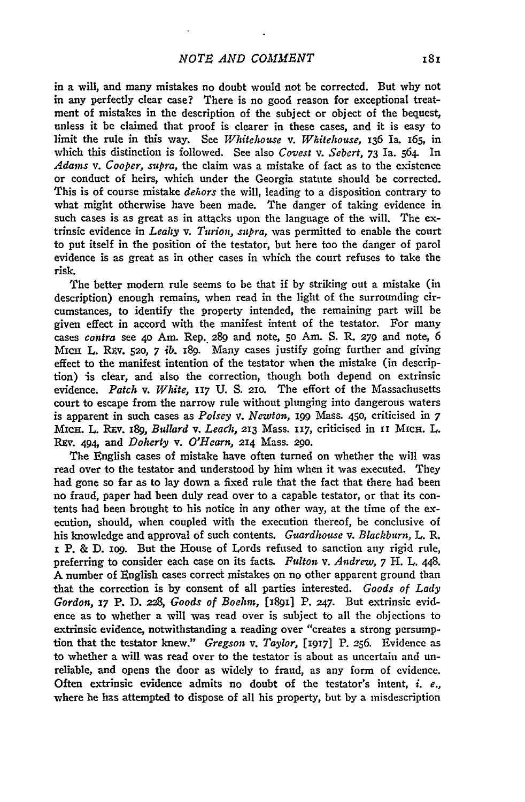in a will, and many mistakes no doubt would not be corrected. But why not in any perfectly clear case? There is no good reason for exceptional treatment of mistakes in the description of the subject or object of the bequest, unless it be claimed that proof is clearer in these cases, and it is easy to limit the rule in this way. See *Whitehouse* v. *Whitehouse,* 136 Ia. 165, in which this distinction is followed. See also *Covest* v. *Sebert,* 73 Ia. 564 In *Adams* v. *Cooper, supra,* the claim was a mistake of fact as to the existence or conduct of heirs, which under the Georgia statute should be corrected. This is of course mistake *deliors* the will, leading to a disposition contrary to what might otherwise have been made. The danger of taking evidence in such cases is as great as in attacks upon the language of the will. The extrinsic evidence in *Leahy* v. *T11rio11, supra,* was permitted to enable the court to put itself in the position of the testator, but here too the danger of parol evidence is as great as in other cases in which the court refuses to take the risk.

The better modem rule seems to be that if by striking out a mistake (in description) enough remains, when read in the light of the surrounding circumstances, to identify the property intended, the remaining part will be given effect in accord with the manifest intent of the testator. For many cases *contra* see 40 Am. Rep. 289 and note, 50 Am. S. R. *279* and note, 6 MICH L. REV. 520, 7 *ib.* 189. Many cases justify going further and giving effect to the manifest intention of the testator when the mistake (in description) is clear, and also the correction, though both depend on extrinsic evidence. *Patch* v. *White, IIJ* U. S. 210. The effort of the Massachusetts court to escape from the narrow rule without plunging into dangerous waters is apparent in such cases as *Polsey* v. *Newton,* 199 Mass. 450, criticised in *7*  MICH. L. REV. 189, *Bullard* v. *Leach,* 213 Mass. u7, criticised in II MICH. L. Rr:v. 494. and *Doherty* v. *O'Hearn,* 214 Mass. 290.

The English cases of mistake have often turned on whether the will was read over to the testator and understood by him when it was executed. They had gone so far as to lay down a fixed rule that the fact that there had been no fraud, paper had been duly read over to a capable testator, or that its contents had been brought to his notice in any other way, at the time of the execution, should, when coupled with the execution thereof, be conclusive of his lmowledge and approval of such contents. *Guardhouse* v. *Blackburn,* L. R. I P. & D. 109. But the House of Lords refused to sanction any rigid rule, preferring to consider each case on its facts. *Fulton v. Andrew*, 7 H. L. 448. A number of English cases correct mistakes on no other apparent ground than that the correction is by consent of all parties interested. *Goods of Lady Gordon,* 17 P. D. 228, *Goods of Boehm,* [1891] P. 247. But extrinsic evidence as to whether a will was read over is subject to all the objections to extrinsic evidence, notwithstanding a reading over "creates a strong persumption that the testator lmew." *Gregson* v. *Taylor,* [I9I7] P. *256.* Evidence as to whether a will was read over to the testator is about as uncertain and unreliable, and opens the door as widely to fraud, as any form of evidence. Often extrinsic evidence admits no doubt of the testator's intent, *i. e.,*  where he has attempted to dispose of all his property, but by a misdescription